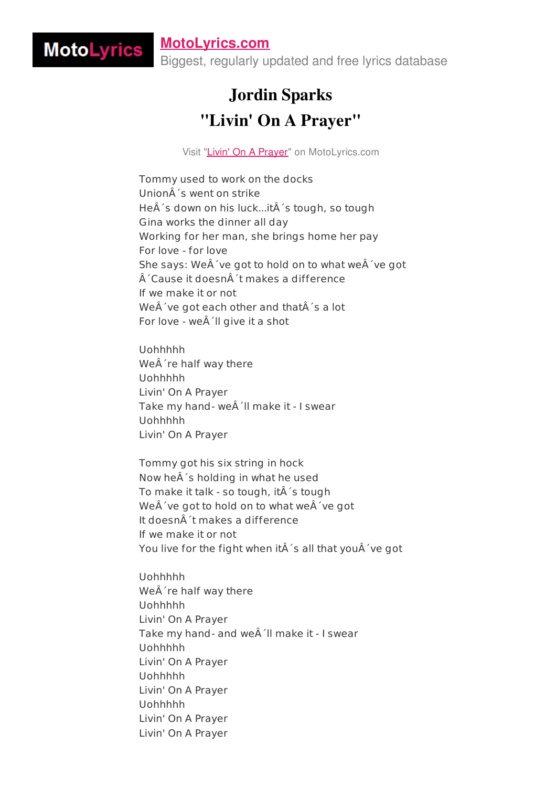## **[MotoLyrics.com](http://motolyrics.com/)**

MotoLyrics

Biggest, regularly updated and free lyrics database

## Jordin Sparks "Livin' On A Prayer"

Visit "Livin' On A [Prayer](http://motolyrics.com/jordin-sparks/livin-on-a-prayer-lyrics.html?pdf=1)" on MotoLyrics.com

Tommy used to work on the docks UnionÂ's went on strike HeÂ's down on his luck...itÂ's tough, so tough Gina works the dinner all day Working for her man, she brings home her pay For love - for love She says: We $\hat{A}$ 've got to hold on to what we $\hat{A}$ 've got  $\hat{A}$ 'Cause it doesn $\hat{A}$ 't makes a difference If we make it or not WeÂ've got each other and thatÂ's a lot For love - we 'll give it a shot

Uohhhhh WeÂ're half way there Uohhhhh Livin' On A Prayer Take my hand- we 'll make it - I swear Uohhhhh Livin' On A Prayer

Tommy got his six string in hock Now heÂ's holding in what he used To make it talk - so tough, it 's tough We $A'$ ve got to hold on to what we $A'$ ve got It doesn´t makes a difference If we make it or not You live for the fight when itÂ's all that youÂ've got

Uohhhhh WeÂ're half way there Uohhhhh Livin' On A Prayer Take my hand- and we 'll make it - I swear Uohhhhh Livin' On A Prayer Uohhhhh Livin' On A Prayer Uohhhhh Livin' On A Prayer Livin' On A Prayer